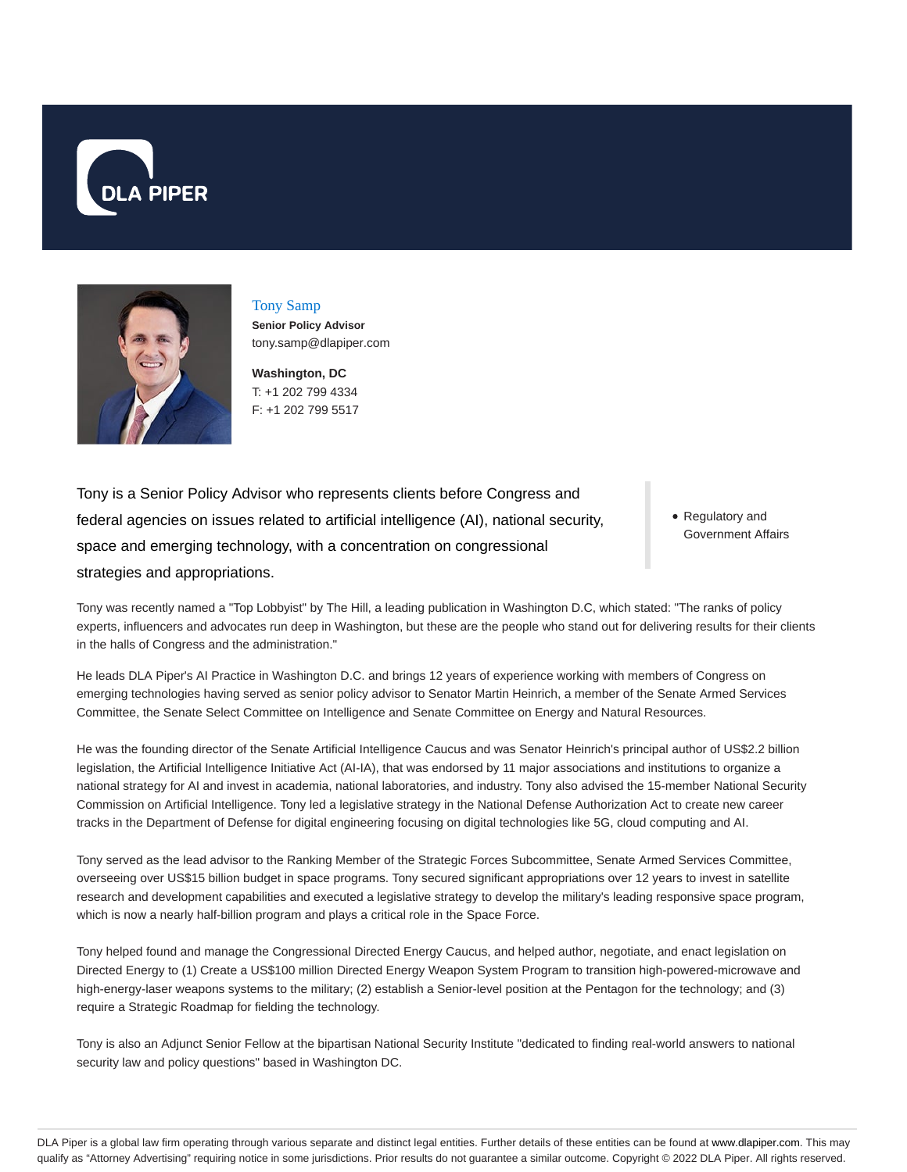



Tony Samp **Senior Policy Advisor** tony.samp@dlapiper.com

**Washington, DC** T: +1 202 799 4334 F: +1 202 799 5517

Tony is a Senior Policy Advisor who represents clients before Congress and federal agencies on issues related to artificial intelligence (AI), national security, space and emerging technology, with a concentration on congressional strategies and appropriations.

Regulatory and Government Affairs

Tony was recently named a "Top Lobbyist" by The Hill, a leading publication in Washington D.C, which stated: "The ranks of policy experts, influencers and advocates run deep in Washington, but these are the people who stand out for delivering results for their clients in the halls of Congress and the administration."

He leads DLA Piper's AI Practice in Washington D.C. and brings 12 years of experience working with members of Congress on emerging technologies having served as senior policy advisor to Senator Martin Heinrich, a member of the Senate Armed Services Committee, the Senate Select Committee on Intelligence and Senate Committee on Energy and Natural Resources.

He was the founding director of the Senate Artificial Intelligence Caucus and was Senator Heinrich's principal author of US\$2.2 billion legislation, the Artificial Intelligence Initiative Act (AI-IA), that was endorsed by 11 major associations and institutions to organize a national strategy for AI and invest in academia, national laboratories, and industry. Tony also advised the 15-member National Security Commission on Artificial Intelligence. Tony led a legislative strategy in the National Defense Authorization Act to create new career tracks in the Department of Defense for digital engineering focusing on digital technologies like 5G, cloud computing and AI.

Tony served as the lead advisor to the Ranking Member of the Strategic Forces Subcommittee, Senate Armed Services Committee, overseeing over US\$15 billion budget in space programs. Tony secured significant appropriations over 12 years to invest in satellite research and development capabilities and executed a legislative strategy to develop the military's leading responsive space program, which is now a nearly half-billion program and plays a critical role in the Space Force.

Tony helped found and manage the Congressional Directed Energy Caucus, and helped author, negotiate, and enact legislation on Directed Energy to (1) Create a US\$100 million Directed Energy Weapon System Program to transition high-powered-microwave and high-energy-laser weapons systems to the military; (2) establish a Senior-level position at the Pentagon for the technology; and (3) require a Strategic Roadmap for fielding the technology.

Tony is also an Adjunct Senior Fellow at the bipartisan National Security Institute "dedicated to finding real-world answers to national security law and policy questions" based in Washington DC.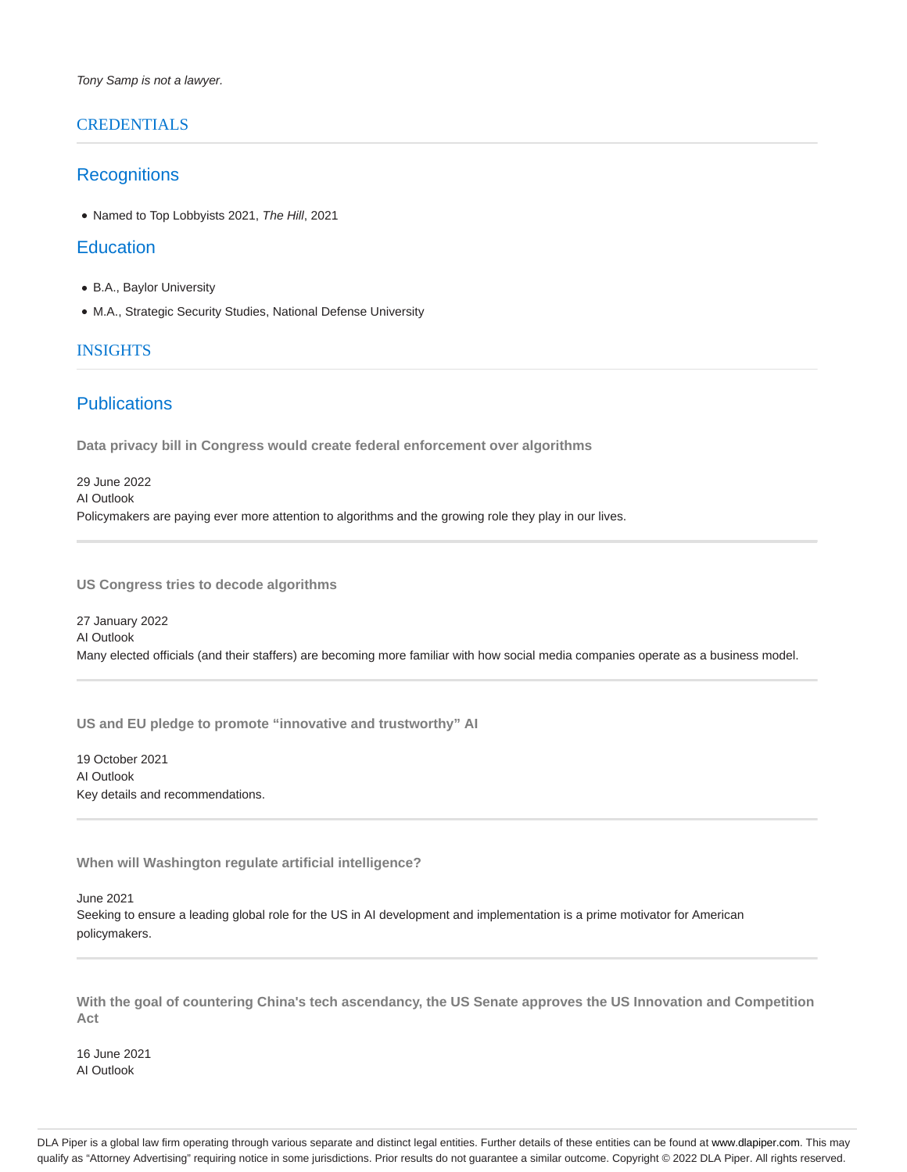## **CREDENTIALS**

## **Recognitions**

• Named to Top Lobbyists 2021, The Hill, 2021

## **Education**

- B.A., Baylor University
- M.A., Strategic Security Studies, National Defense University

## INSIGHTS

# **Publications**

**Data privacy bill in Congress would create federal enforcement over algorithms**

29 June 2022 AI Outlook Policymakers are paying ever more attention to algorithms and the growing role they play in our lives.

**US Congress tries to decode algorithms**

27 January 2022 AI Outlook Many elected officials (and their staffers) are becoming more familiar with how social media companies operate as a business model.

**US and EU pledge to promote "innovative and trustworthy" AI**

19 October 2021 AI Outlook Key details and recommendations.

**When will Washington regulate artificial intelligence?**

June 2021 Seeking to ensure a leading global role for the US in AI development and implementation is a prime motivator for American policymakers.

**With the goal of countering China's tech ascendancy, the US Senate approves the US Innovation and Competition Act**

16 June 2021 AI Outlook

DLA Piper is a global law firm operating through various separate and distinct legal entities. Further details of these entities can be found at www.dlapiper.com. This may qualify as "Attorney Advertising" requiring notice in some jurisdictions. Prior results do not guarantee a similar outcome. Copyright @ 2022 DLA Piper. All rights reserved.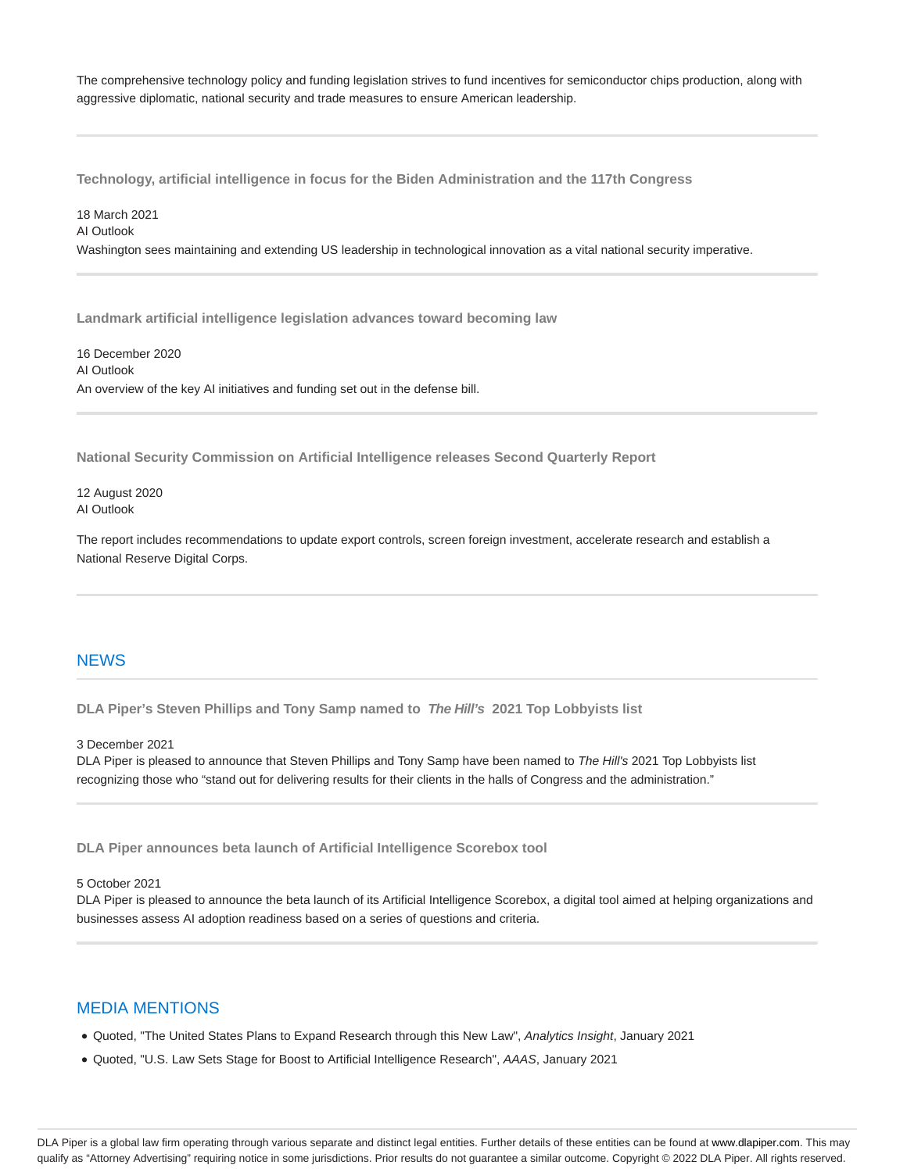The comprehensive technology policy and funding legislation strives to fund incentives for semiconductor chips production, along with aggressive diplomatic, national security and trade measures to ensure American leadership.

**Technology, artificial intelligence in focus for the Biden Administration and the 117th Congress**

18 March 2021 AI Outlook Washington sees maintaining and extending US leadership in technological innovation as a vital national security imperative.

**Landmark artificial intelligence legislation advances toward becoming law**

16 December 2020 AI Outlook An overview of the key AI initiatives and funding set out in the defense bill.

**National Security Commission on Artificial Intelligence releases Second Quarterly Report**

12 August 2020 AI Outlook

The report includes recommendations to update export controls, screen foreign investment, accelerate research and establish a National Reserve Digital Corps.

## **NEWS**

**DLA Piper's Steven Phillips and Tony Samp named to The Hill's 2021 Top Lobbyists list**

3 December 2021

DLA Piper is pleased to announce that Steven Phillips and Tony Samp have been named to The Hill's 2021 Top Lobbyists list recognizing those who "stand out for delivering results for their clients in the halls of Congress and the administration."

**DLA Piper announces beta launch of Artificial Intelligence Scorebox tool**

#### 5 October 2021

DLA Piper is pleased to announce the beta launch of its Artificial Intelligence Scorebox, a digital tool aimed at helping organizations and businesses assess AI adoption readiness based on a series of questions and criteria.

# MEDIA MENTIONS

- Quoted, "The United States Plans to Expand Research through this New Law", Analytics Insight, January 2021
- Quoted, "U.S. Law Sets Stage for Boost to Artificial Intelligence Research", AAAS, January 2021

DLA Piper is a global law firm operating through various separate and distinct legal entities. Further details of these entities can be found at www.dlapiper.com. This may qualify as "Attorney Advertising" requiring notice in some jurisdictions. Prior results do not guarantee a similar outcome. Copyright @ 2022 DLA Piper. All rights reserved.